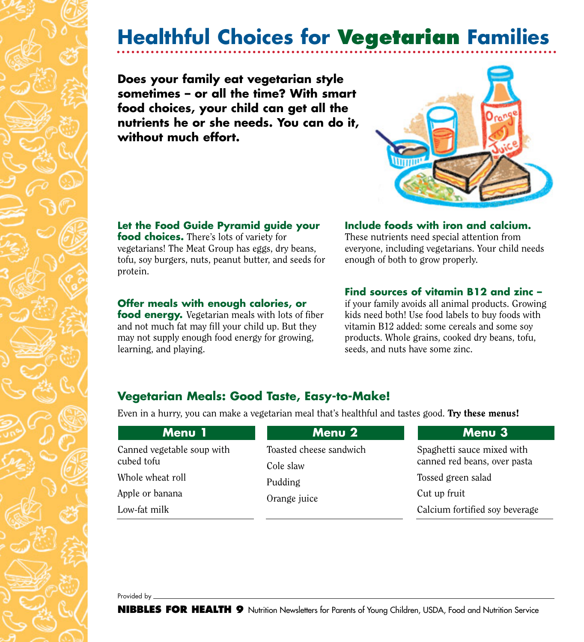# **Healthful Choices for Vegetarian Families**

**Does your family eat vegetarian style sometimes – or all the time? With smart food choices, your child can get all the nutrients he or she needs. You can do it, without much effort.**



#### **Let the Food Guide Pyramid guide your**

**food choices.** There's lots of variety for vegetarians! The Meat Group has eggs, dry beans, tofu, soy burgers, nuts, peanut butter, and seeds for protein.

#### **Offer meals with enough calories, or**

**food energy.** Vegetarian meals with lots of fiber and not much fat may fill your child up. But they may not supply enough food energy for growing, learning, and playing.

#### **Include foods with iron and calcium.**

These nutrients need special attention from everyone, including vegetarians. Your child needs enough of both to grow properly.

#### **Find sources of vitamin B12 and zinc –**

if your family avoids all animal products. Growing kids need both! Use food labels to buy foods with vitamin B12 added: some cereals and some soy products. Whole grains, cooked dry beans, tofu, seeds, and nuts have some zinc.

### **Vegetarian Meals: Good Taste, Easy-to-Make!**

Even in a hurry, you can make a vegetarian meal that's healthful and tastes good. Try these menus!

| Menu 1                     | <b>Menu 2</b>           | Menu 3                         |
|----------------------------|-------------------------|--------------------------------|
| Canned vegetable soup with | Toasted cheese sandwich | Spaghetti sauce mixed with     |
| cubed tofu                 | Cole slaw               | canned red beans, over pasta   |
| Whole wheat roll           | Pudding<br>Orange juice | Tossed green salad             |
| Apple or banana            |                         | Cut up fruit                   |
| Low-fat milk               |                         | Calcium fortified soy beverage |

Provided by